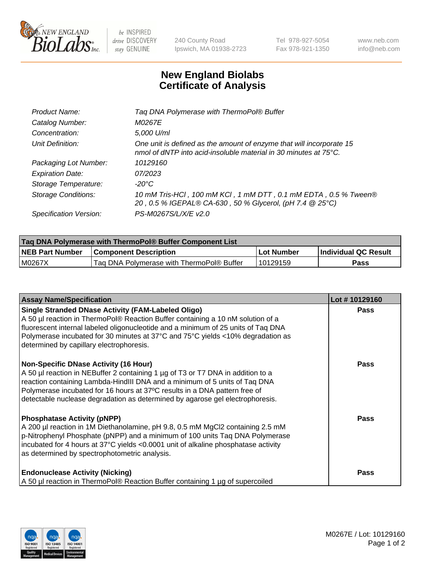

 $be$  INSPIRED drive DISCOVERY stay GENUINE

240 County Road Ipswich, MA 01938-2723 Tel 978-927-5054 Fax 978-921-1350 www.neb.com info@neb.com

## **New England Biolabs Certificate of Analysis**

| Product Name:              | Tag DNA Polymerase with ThermoPol® Buffer                                                                                                |
|----------------------------|------------------------------------------------------------------------------------------------------------------------------------------|
| Catalog Number:            | M0267E                                                                                                                                   |
| Concentration:             | 5,000 U/ml                                                                                                                               |
| Unit Definition:           | One unit is defined as the amount of enzyme that will incorporate 15<br>nmol of dNTP into acid-insoluble material in 30 minutes at 75°C. |
| Packaging Lot Number:      | 10129160                                                                                                                                 |
| <b>Expiration Date:</b>    | 07/2023                                                                                                                                  |
| Storage Temperature:       | $-20^{\circ}$ C                                                                                                                          |
| <b>Storage Conditions:</b> | 10 mM Tris-HCl, 100 mM KCl, 1 mM DTT, 0.1 mM EDTA, 0.5 % Tween®<br>20, 0.5 % IGEPAL® CA-630, 50 % Glycerol, (pH 7.4 @ 25°C)              |
| Specification Version:     | PS-M0267S/L/X/E v2.0                                                                                                                     |

| Taq DNA Polymerase with ThermoPol® Buffer Component List |                                           |              |                      |  |
|----------------------------------------------------------|-------------------------------------------|--------------|----------------------|--|
| <b>NEB Part Number</b>                                   | <b>Component Description</b>              | l Lot Number | Individual QC Result |  |
| M0267X                                                   | Tag DNA Polymerase with ThermoPol® Buffer | 10129159     | Pass                 |  |

| <b>Assay Name/Specification</b>                                                                                                                                                                                                                                                                                                                                              | Lot #10129160 |
|------------------------------------------------------------------------------------------------------------------------------------------------------------------------------------------------------------------------------------------------------------------------------------------------------------------------------------------------------------------------------|---------------|
| Single Stranded DNase Activity (FAM-Labeled Oligo)<br>A 50 µl reaction in ThermoPol® Reaction Buffer containing a 10 nM solution of a<br>fluorescent internal labeled oligonucleotide and a minimum of 25 units of Taq DNA<br>Polymerase incubated for 30 minutes at 37°C and 75°C yields <10% degradation as<br>determined by capillary electrophoresis.                    | <b>Pass</b>   |
| <b>Non-Specific DNase Activity (16 Hour)</b><br>A 50 µl reaction in NEBuffer 2 containing 1 µg of T3 or T7 DNA in addition to a<br>reaction containing Lambda-HindIII DNA and a minimum of 5 units of Taq DNA<br>Polymerase incubated for 16 hours at 37°C results in a DNA pattern free of<br>detectable nuclease degradation as determined by agarose gel electrophoresis. | Pass          |
| <b>Phosphatase Activity (pNPP)</b><br>A 200 µl reaction in 1M Diethanolamine, pH 9.8, 0.5 mM MgCl2 containing 2.5 mM<br>$\vert$ p-Nitrophenyl Phosphate (pNPP) and a minimum of 100 units Taq DNA Polymerase<br>incubated for 4 hours at 37°C yields <0.0001 unit of alkaline phosphatase activity<br>as determined by spectrophotometric analysis.                          | <b>Pass</b>   |
| <b>Endonuclease Activity (Nicking)</b><br>A 50 µl reaction in ThermoPol® Reaction Buffer containing 1 µg of supercoiled                                                                                                                                                                                                                                                      | Pass          |